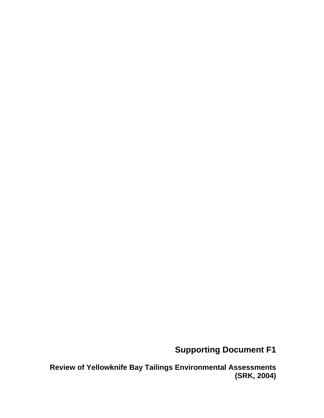### **Supporting Document F1**

**Review of Yellowknife Bay Tailings Environmental Assessments (SRK, 2004)**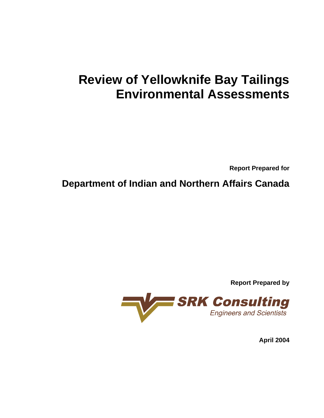# **Review of Yellowknife Bay Tailings Environmental Assessments**

**Report Prepared for** 

**Department of Indian and Northern Affairs Canada** 



**April 2004**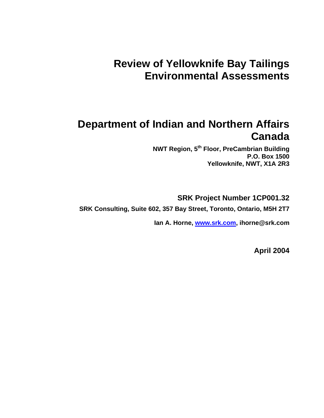## **Review of Yellowknife Bay Tailings Environmental Assessments**

### **Department of Indian and Northern Affairs Canada**

**NWT Region, 5th Floor, PreCambrian Building P.O. Box 1500 Yellowknife, NWT, X1A 2R3** 

**SRK Project Number 1CP001.32** 

**SRK Consulting, Suite 602, 357 Bay Street, Toronto, Ontario, M5H 2T7** 

**Ian A. Horne, www.srk.com, ihorne@srk.com** 

**April 2004**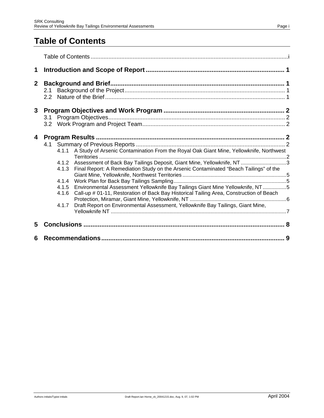### **Table of Contents**

| 1            |                                                                                                                                                                                                                                                                                                                                                                                                                                                                                                                                                                                  |   |
|--------------|----------------------------------------------------------------------------------------------------------------------------------------------------------------------------------------------------------------------------------------------------------------------------------------------------------------------------------------------------------------------------------------------------------------------------------------------------------------------------------------------------------------------------------------------------------------------------------|---|
| $\mathbf{2}$ | 2.1                                                                                                                                                                                                                                                                                                                                                                                                                                                                                                                                                                              |   |
| 3            |                                                                                                                                                                                                                                                                                                                                                                                                                                                                                                                                                                                  |   |
| 4            | 4.1.1 A Study of Arsenic Contamination From the Royal Oak Giant Mine, Yellowknife, Northwest<br>4.1.2 Assessment of Back Bay Tailings Deposit, Giant Mine, Yellowknife, NT3<br>Final Report: A Remediation Study on the Arsenic Contaminated "Beach Tailings" of the<br>4.1.3<br>4.1.4<br>Environmental Assessment Yellowknife Bay Tailings Giant Mine Yellowknife, NT5<br>4.1.5<br>Call-up # 01-11, Restoration of Back Bay Historical Tailing Area, Construction of Beach<br>4.1.6<br>Draft Report on Environmental Assessment, Yellowknife Bay Tailings, Giant Mine,<br>4.1.7 |   |
| 5            |                                                                                                                                                                                                                                                                                                                                                                                                                                                                                                                                                                                  |   |
| 6            |                                                                                                                                                                                                                                                                                                                                                                                                                                                                                                                                                                                  | 9 |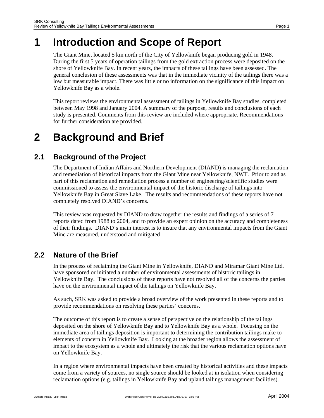## **1 Introduction and Scope of Report**

The Giant Mine, located 5 km north of the City of Yellowknife began producing gold in 1948. During the first 5 years of operation tailings from the gold extraction process were deposited on the shore of Yellowknife Bay. In recent years, the impacts of these tailings have been assessed. The general conclusion of these assessments was that in the immediate vicinity of the tailings there was a low but measurable impact. There was little or no information on the significance of this impact on Yellowknife Bay as a whole.

This report reviews the environmental assessment of tailings in Yellowknife Bay studies, completed between May 1998 and January 2004. A summary of the purpose, results and conclusions of each study is presented. Comments from this review are included where appropriate. Recommendations for further consideration are provided.

## **2 Background and Brief**

### **2.1 Background of the Project**

The Department of Indian Affairs and Northern Development (DIAND) is managing the reclamation and remediation of historical impacts from the Giant Mine near Yellowknife, NWT. Prior to and as part of this reclamation and remediation process a number of engineering/scientific studies were commissioned to assess the environmental impact of the historic discharge of tailings into Yellowknife Bay in Great Slave Lake. The results and recommendations of these reports have not completely resolved DIAND's concerns.

This review was requested by DIAND to draw together the results and findings of a series of 7 reports dated from 1988 to 2004, and to provide an expert opinion on the accuracy and completeness of their findings. DIAND's main interest is to insure that any environmental impacts from the Giant Mine are measured, understood and mitigated

### **2.2 Nature of the Brief**

In the process of reclaiming the Giant Mine in Yellowknife, DIAND and Miramar Giant Mine Ltd. have sponsored or initiated a number of environmental assessments of historic tailings in Yellowknife Bay. The conclusions of these reports have not resolved all of the concerns the parties have on the environmental impact of the tailings on Yellowknife Bay.

As such, SRK was asked to provide a broad overview of the work presented in these reports and to provide recommendations on resolving these parties' concerns.

The outcome of this report is to create a sense of perspective on the relationship of the tailings deposited on the shore of Yellowknife Bay and to Yellowknife Bay as a whole. Focusing on the immediate area of tailings deposition is important to determining the contribution tailings make to elements of concern in Yellowknife Bay. Looking at the broader region allows the assessment of impact to the ecosystem as a whole and ultimately the risk that the various reclamation options have on Yellowknife Bay.

In a region where environmental impacts have been created by historical activities and these impacts come from a variety of sources, no single source should be looked at in isolation when considering reclamation options (e.g. tailings in Yellowknife Bay and upland tailings management facilities).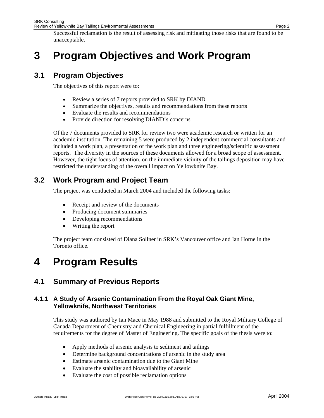## **3 Program Objectives and Work Program**

#### **3.1 Program Objectives**

The objectives of this report were to:

- Review a series of 7 reports provided to SRK by DIAND
- Summarize the objectives, results and recommendations from these reports
- Evaluate the results and recommendations
- Provide direction for resolving DIAND's concerns

Of the 7 documents provided to SRK for review two were academic research or written for an academic institution. The remaining 5 were produced by 2 independent commercial consultants and included a work plan, a presentation of the work plan and three engineering/scientific assessment reports. The diversity in the sources of these documents allowed for a broad scope of assessment. However, the tight focus of attention, on the immediate vicinity of the tailings deposition may have restricted the understanding of the overall impact on Yellowknife Bay.

### **3.2 Work Program and Project Team**

The project was conducted in March 2004 and included the following tasks:

- Receipt and review of the documents
- Producing document summaries
- Developing recommendations
- Writing the report

The project team consisted of Diana Sollner in SRK's Vancouver office and Ian Horne in the Toronto office.

## **4 Program Results**

#### **4.1 Summary of Previous Reports**

#### **4.1.1 A Study of Arsenic Contamination From the Royal Oak Giant Mine, Yellowknife, Northwest Territories**

This study was authored by Ian Mace in May 1988 and submitted to the Royal Military College of Canada Department of Chemistry and Chemical Engineering in partial fulfillment of the requirements for the degree of Master of Engineering. The specific goals of the thesis were to:

- Apply methods of arsenic analysis to sediment and tailings
- Determine background concentrations of arsenic in the study area
- Estimate arsenic contamination due to the Giant Mine
- Evaluate the stability and bioavailability of arsenic
- Evaluate the cost of possible reclamation options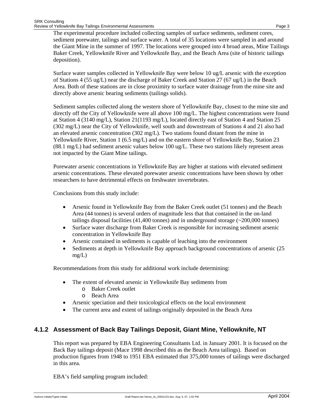The experimental procedure included collecting samples of surface sediments, sediment cores, sediment porewater, tailings and surface water. A total of 35 locations were sampled in and around the Giant Mine in the summer of 1997. The locations were grouped into 4 broad areas, Mine Tailings Baker Creek, Yellowknife River and Yellowknife Bay, and the Beach Area (site of historic tailings deposition).

Surface water samples collected in Yellowknife Bay were below 10 ug/L arsenic with the exception of Stations 4 (55 ug/L) near the discharge of Baker Creek and Station 27 (67 ug/L) in the Beach Area. Both of these stations are in close proximity to surface water drainage from the mine site and directly above arsenic bearing sediments (tailings solids).

Sediment samples collected along the western shore of Yellowknife Bay, closest to the mine site and directly off the City of Yellowknife were all above 100 mg/L. The highest concentrations were found at Station 4 (3140 mg/L), Station 21(1193 mg/L), located directly east of Station 4 and Station 25 (302 mg/L) near the City of Yellowknife, well south and downstream of Stations 4 and 21 also had an elevated arsenic concentration (302 mg/L). Two stations found distant from the mine in Yellowknife River, Station 1 (6.5 mg/L) and on the eastern shore of Yellowknife Bay, Station 23 (88.1 mg/L) had sediment arsenic values below 100 ug/L. These two stations likely represent areas not impacted by the Giant Mine tailings.

Porewater arsenic concentrations in Yellowknife Bay are higher at stations with elevated sediment arsenic concentrations. These elevated porewater arsenic concentrations have been shown by other researchers to have detrimental effects on freshwater invertebrates.

Conclusions from this study include:

- Arsenic found in Yellowknife Bay from the Baker Creek outlet (51 tonnes) and the Beach Area (44 tonnes) is several orders of magnitude less that that contained in the on-land tailings disposal facilities (41,400 tonnes) and in underground storage (~200,000 tonnes)
- Surface water discharge from Baker Creek is responsible for increasing sediment arsenic concentration in Yellowknife Bay
- Arsenic contained in sediments is capable of leaching into the environment
- Sediments at depth in Yellowknife Bay approach background concentrations of arsenic (25 mg/L)

Recommendations from this study for additional work include determining:

- The extent of elevated arsenic in Yellowknife Bay sediments from
	- o Baker Creek outlet
	- o Beach Area
- Arsenic speciation and their toxicological effects on the local environment
- The current area and extent of tailings originally deposited in the Beach Area

#### **4.1.2 Assessment of Back Bay Tailings Deposit, Giant Mine, Yellowknife, NT**

This report was prepared by EBA Engineering Consultants Ltd. in January 2001. It is focused on the Back Bay tailings deposit (Mace 1998 described this as the Beach Area tailings). Based on production figures from 1948 to 1951 EBA estimated that 375,000 tonnes of tailings were discharged in this area.

EBA's field sampling program included: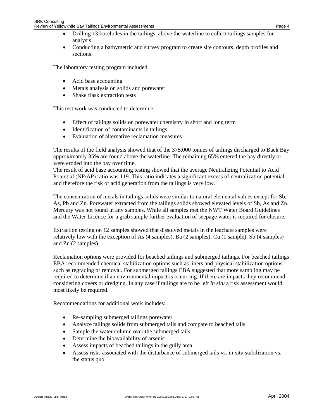• Conducting a bathymetric and survey program to create site contours, depth profiles and sections

The laboratory testing program included

- Acid base accounting
- Metals analysis on solids and porewater
- Shake flask extraction tests

This test work was conducted to determine:

- Effect of tailings solids on porewater chemistry in short and long term
- Identification of contaminants in tailings
- Evaluation of alternative reclamation measures

The results of the field analysis showed that of the 375,000 tonnes of tailings discharged to Back Bay approximately 35% are found above the waterline. The remaining 65% entered the bay directly or were eroded into the bay over time.

The result of acid base accounting testing showed that the average Neutralizing Potential to Acid Potential (NP/AP) ratio was 119. This ratio indicates a significant excess of neutralization potential and therefore the risk of acid generation from the tailings is very low.

The concentration of metals in tailings solids were similar to natural elemental values except for Sb, As, Pb and Zn. Porewater extracted from the tailings solids showed elevated levels of Sb, As and Zn. Mercury was not found in any samples. While all samples met the NWT Water Board Guidelines and the Water Licence for a grab sample further evaluation of seepage water is required for closure.

Extraction testing on 12 samples showed that dissolved metals in the leachate samples were relatively low with the exception of As  $(4 \text{ samples})$ , Ba  $(2 \text{ samples})$ , Cu  $(1 \text{ sample})$ , Sb  $(4 \text{ samples})$ and Zn (2 samples).

Reclamation options were provided for beached tailings and submerged tailings. For beached tailings EBA recommended chemical stabilization options such as liners and physical stabilization options such as regrading or removal. For submerged tailings EBA suggested that more sampling may be required to determine if an environmental impact is occurring. If there are impacts they recommend considering covers or dredging. In any case if tailings are to be left *in situ* a risk assessment would most likely be required.

Recommendations for additional work includes:

- Re-sampling submerged tailings porewater
- Analyze tailings solids from submerged tails and compare to beached tails
- Sample the water column over the submerged tails
- Determine the bioavailability of arsenic
- Assess impacts of beached tailings in the gully area
- Assess risks associated with the disturbance of submerged tails vs. in-situ stabilization vs. the status quo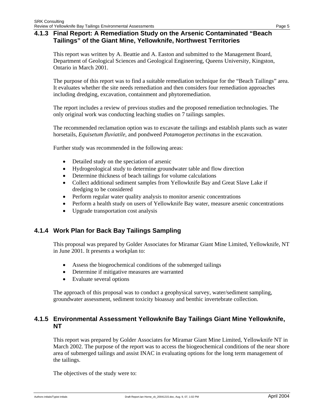#### **4.1.3 Final Report: A Remediation Study on the Arsenic Contaminated "Beach Tailings" of the Giant Mine, Yellowknife, Northwest Territories**

This report was written by A. Beattie and A. Easton and submitted to the Management Board, Department of Geological Sciences and Geological Engineering, Queens University, Kingston, Ontario in March 2001.

The purpose of this report was to find a suitable remediation technique for the "Beach Tailings" area. It evaluates whether the site needs remediation and then considers four remediation approaches including dredging, excavation, containment and phytoremediation.

The report includes a review of previous studies and the proposed remediation technologies. The only original work was conducting leaching studies on 7 tailings samples.

The recommended reclamation option was to excavate the tailings and establish plants such as water horsetails, *Equisetum fluviatile*, and pondweed *Potamogeton pectinatus* in the excavation.

Further study was recommended in the following areas:

- Detailed study on the speciation of arsenic
- Hydrogeological study to determine groundwater table and flow direction
- Determine thickness of beach tailings for volume calculations
- Collect additional sediment samples from Yellowknife Bay and Great Slave Lake if dredging to be considered
- Perform regular water quality analysis to monitor arsenic concentrations
- Perform a health study on users of Yellowknife Bay water, measure arsenic concentrations
- Upgrade transportation cost analysis

#### **4.1.4 Work Plan for Back Bay Tailings Sampling**

This proposal was prepared by Golder Associates for Miramar Giant Mine Limited, Yellowknife, NT in June 2001. It presents a workplan to:

- Assess the biogeochemical conditions of the submerged tailings
- Determine if mitigative measures are warranted
- Evaluate several options

The approach of this proposal was to conduct a geophysical survey, water/sediment sampling, groundwater assessment, sediment toxicity bioassay and benthic invertebrate collection.

#### **4.1.5 Environmental Assessment Yellowknife Bay Tailings Giant Mine Yellowknife, NT**

This report was prepared by Golder Associates for Miramar Giant Mine Limited, Yellowknife NT in March 2002. The purpose of the report was to access the biogeochemical conditions of the near shore area of submerged tailings and assist INAC in evaluating options for the long term management of the tailings.

The objectives of the study were to: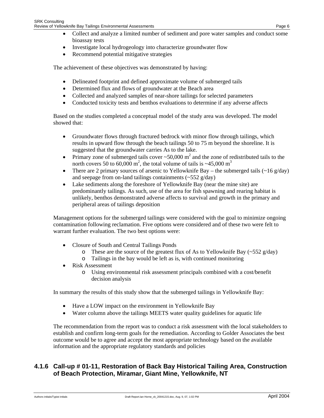- Collect and analyze a limited number of sediment and pore water samples and conduct some bioassay tests
- Investigate local hydrogeology into characterize groundwater flow
- Recommend potential mitigative strategies

The achievement of these objectives was demonstrated by having:

- Delineated footprint and defined approximate volume of submerged tails
- Determined flux and flows of groundwater at the Beach area
- Collected and analyzed samples of near-shore tailings for selected parameters
- Conducted toxicity tests and benthos evaluations to determine if any adverse affects

Based on the studies completed a conceptual model of the study area was developed. The model showed that:

- Groundwater flows through fractured bedrock with minor flow through tailings, which results in upward flow through the beach tailings 50 to 75 m beyond the shoreline. It is suggested that the groundwater carries As to the lake.
- Primary zone of submerged tails cover  $\sim 50,000$  m<sup>2</sup> and the zone of redistributed tails to the north covers 50 to 60,000 m<sup>2</sup>, the total volume of tails is  $\sim$ 45,000 m<sup>3</sup>
- There are 2 primary sources of arsenic to Yellowknife Bay the submerged tails  $\left(\sim 16 \text{ g/day}\right)$ and seepage from on-land tailings containments  $(\sim 552 \text{ g/day})$
- Lake sediments along the foreshore of Yellowknife Bay (near the mine site) are predominantly tailings. As such, use of the area for fish spawning and rearing habitat is unlikely, benthos demonstrated adverse affects to survival and growth in the primary and peripheral areas of tailings deposition

Management options for the submerged tailings were considered with the goal to minimize ongoing contamination following reclamation. Five options were considered and of these two were felt to warrant further evaluation. The two best options were:

- Closure of South and Central Tailings Ponds
	- $\circ$  These are the source of the greatest flux of As to Yellowknife Bay (~552 g/day)
	- o Tailings in the bay would be left as is, with continued monitoring
- Risk Assessment
	- o Using environmental risk assessment principals combined with a cost/benefit decision analysis

In summary the results of this study show that the submerged tailings in Yellowknife Bay:

- Have a LOW impact on the environment in Yellowknife Bay
- Water column above the tailings MEETS water quality guidelines for aquatic life

The recommendation from the report was to conduct a risk assessment with the local stakeholders to establish and confirm long-term goals for the remediation. According to Golder Associates the best outcome would be to agree and accept the most appropriate technology based on the available information and the appropriate regulatory standards and policies

#### **4.1.6 Call-up # 01-11, Restoration of Back Bay Historical Tailing Area, Construction of Beach Protection, Miramar, Giant Mine, Yellowknife, NT**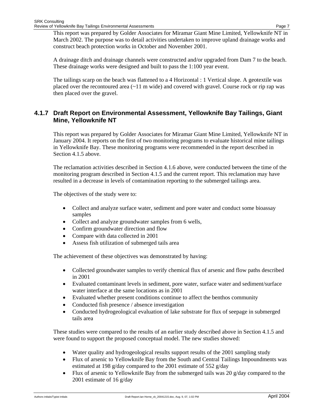This report was prepared by Golder Associates for Miramar Giant Mine Limited, Yellowknife NT in March 2002. The purpose was to detail activities undertaken to improve upland drainage works and construct beach protection works in October and November 2001.

A drainage ditch and drainage channels were constructed and/or upgraded from Dam 7 to the beach. These drainage works were designed and built to pass the 1:100 year event.

The tailings scarp on the beach was flattened to a 4 Horizontal : 1 Vertical slope. A geotextile was placed over the recontoured area  $(-11 \text{ m wide})$  and covered with gravel. Course rock or rip rap was then placed over the gravel.

#### **4.1.7 Draft Report on Environmental Assessment, Yellowknife Bay Tailings, Giant Mine, Yellowknife NT**

This report was prepared by Golder Associates for Miramar Giant Mine Limited, Yellowknife NT in January 2004. It reports on the first of two monitoring programs to evaluate historical mine tailings in Yellowknife Bay. These monitoring programs were recommended in the report described in Section 4.1.5 above.

The reclamation activities described in Section 4.1.6 above, were conducted between the time of the monitoring program described in Section 4.1.5 and the current report. This reclamation may have resulted in a decrease in levels of contamination reporting to the submerged tailings area.

The objectives of the study were to:

- Collect and analyze surface water, sediment and pore water and conduct some bioassay samples
- Collect and analyze groundwater samples from 6 wells,
- Confirm groundwater direction and flow
- Compare with data collected in 2001
- Assess fish utilization of submerged tails area

The achievement of these objectives was demonstrated by having:

- Collected groundwater samples to verify chemical flux of arsenic and flow paths described in 2001
- Evaluated contaminant levels in sediment, pore water, surface water and sediment/surface water interface at the same locations as in 2001
- Evaluated whether present conditions continue to affect the benthos community
- Conducted fish presence / absence investigation
- Conducted hydrogeological evaluation of lake substrate for flux of seepage in submerged tails area

These studies were compared to the results of an earlier study described above in Section 4.1.5 and were found to support the proposed conceptual model. The new studies showed:

- Water quality and hydrogeological results support results of the 2001 sampling study
- Flux of arsenic to Yellowknife Bay from the South and Central Tailings Impoundments was estimated at 198 g/day compared to the 2001 estimate of 552 g/day
- Flux of arsenic to Yellowknife Bay from the submerged tails was 20  $g/day$  compared to the 2001 estimate of 16 g/day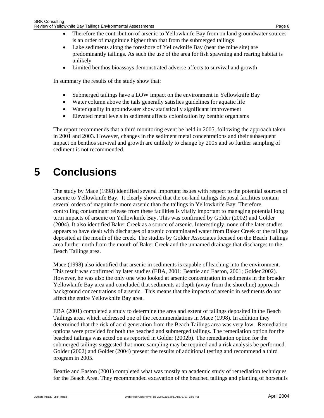- Therefore the contribution of arsenic to Yellowknife Bay from on land groundwater sources is an order of magnitude higher than that from the submerged tailings
- Lake sediments along the foreshore of Yellowknife Bay (near the mine site) are predominantly tailings. As such the use of the area for fish spawning and rearing habitat is unlikely
- Limited benthos bioassays demonstrated adverse affects to survival and growth

In summary the results of the study show that:

- Submerged tailings have a LOW impact on the environment in Yellowknife Bay
- Water column above the tails generally satisfies guidelines for aquatic life
- Water quality in groundwater show statistically significant improvement
- Elevated metal levels in sediment affects colonization by benthic organisms

The report recommends that a third monitoring event be held in 2005, following the approach taken in 2001 and 2003. However, changes in the sediment metal concentrations and their subsequent impact on benthos survival and growth are unlikely to change by 2005 and so further sampling of sediment is not recommended.

## **5 Conclusions**

The study by Mace (1998) identified several important issues with respect to the potential sources of arsenic to Yellowknife Bay. It clearly showed that the on-land tailings disposal facilities contain several orders of magnitude more arsenic than the tailings in Yellowknife Bay. Therefore, controlling contaminant release from these facilities is vitally important to managing potential long term impacts of arsenic on Yellowknife Bay. This was confirmed by Golder (2002) and Golder (2004). It also identified Baker Creek as a source of arsenic. Interestingly, none of the later studies appears to have dealt with discharges of arsenic contaminated water from Baker Creek or the tailings deposited at the mouth of the creek. The studies by Golder Associates focused on the Beach Tailings area further north from the mouth of Baker Creek and the unnamed drainage that discharges to the Beach Tailings area.

Mace (1998) also identified that arsenic in sediments is capable of leaching into the environment. This result was confirmed by later studies (EBA, 2001; Beattie and Easton, 2001; Golder 2002). However, he was also the only one who looked at arsenic concentration in sediments in the broader Yellowknife Bay area and concluded that sediments at depth (away from the shoreline) approach background concentrations of arsenic. This means that the impacts of arsenic in sediments do not affect the entire Yellowknife Bay area.

EBA (2001) completed a study to determine the area and extent of tailings deposited in the Beach Tailings area, which addressed one of the recommendations in Mace (1998). In addition they determined that the risk of acid generation from the Beach Tailings area was very low. Remediation options were provided for both the beached and submerged tailings. The remediation option for the beached tailings was acted on as reported in Golder (2002b). The remediation option for the submerged tailings suggested that more sampling may be required and a risk analysis be performed. Golder (2002) and Golder (2004) present the results of additional testing and recommend a third program in 2005.

Beattie and Easton (2001) completed what was mostly an academic study of remediation techniques for the Beach Area. They recommended excavation of the beached tailings and planting of horsetails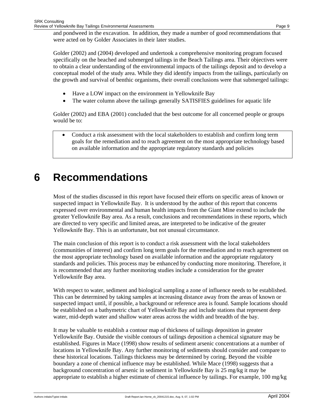and pondweed in the excavation. In addition, they made a number of good recommendations that were acted on by Golder Associates in their later studies.

Golder (2002) and (2004) developed and undertook a comprehensive monitoring program focused specifically on the beached and submerged tailings in the Beach Tailings area. Their objectives were to obtain a clear understanding of the environmental impacts of the tailings deposit and to develop a conceptual model of the study area. While they did identify impacts from the tailings, particularly on the growth and survival of benthic organisms, their overall conclusions were that submerged tailings:

- Have a LOW impact on the environment in Yellowknife Bay
- The water column above the tailings generally SATISFIES guidelines for aquatic life

Golder (2002) and EBA (2001) concluded that the best outcome for all concerned people or groups would be to:

• Conduct a risk assessment with the local stakeholders to establish and confirm long term goals for the remediation and to reach agreement on the most appropriate technology based on available information and the appropriate regulatory standards and policies

### **6 Recommendations**

Most of the studies discussed in this report have focused their efforts on specific areas of known or suspected impact in Yellowknife Bay. It is understood by the author of this report that concerns expressed over environmental and human health impacts from the Giant Mine extend to include the greater Yellowknife Bay area. As a result, conclusions and recommendations in these reports, which are directed to very specific and limited areas, are interpreted to be indicative of the greater Yellowknife Bay. This is an unfortunate, but not unusual circumstance.

The main conclusion of this report is to conduct a risk assessment with the local stakeholders (communities of interest) and confirm long term goals for the remediation and to reach agreement on the most appropriate technology based on available information and the appropriate regulatory standards and policies. This process may be enhanced by conducting more monitoring. Therefore, it is recommended that any further monitoring studies include a consideration for the greater Yellowknife Bay area.

With respect to water, sediment and biological sampling a zone of influence needs to be established. This can be determined by taking samples at increasing distance away from the areas of known or suspected impact until, if possible, a background or reference area is found. Sample locations should be established on a bathymetric chart of Yellowknife Bay and include stations that represent deep water, mid-depth water and shallow water areas across the width and breadth of the bay.

It may be valuable to establish a contour map of thickness of tailings deposition in greater Yellowknife Bay. Outside the visible contours of tailings deposition a chemical signature may be established. Figures in Mace (1998) show results of sediment arsenic concentrations at a number of locations in Yellowknife Bay. Any further monitoring of sediments should consider and compare to these historical locations. Tailings thickness may be determined by coring. Beyond the visible boundary a zone of chemical influence may be established. While Mace (1998) suggests that a background concentration of arsenic in sediment in Yellowknife Bay is 25 mg/kg it may be appropriate to establish a higher estimate of chemical influence by tailings. For example, 100 mg/kg